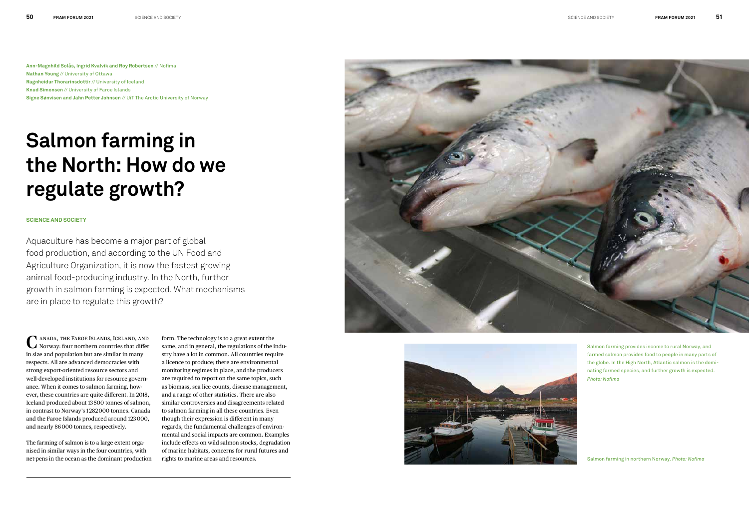## **Salmon farming in the North: How do we regulate growth?**

**Ann-Magnhild Solås, Ingrid Kvalvik and Roy Robertsen** // Nofima **Nathan Young** // University of Ottawa **Ragnheidur Thorarinsdottir** // University of Iceland **Knud Simonsen** // University of Faroe Islands **Signe Sønvisen and Jahn Petter Johnsen** // UiT The Arctic University of Norway

Aquaculture has become a major part of global food production, and according to the UN Food and Agriculture Organization, it is now the fastest growing animal food-producing industry. In the North, further growth in salmon farming is expected. What mechanisms are in place to regulate this growth?

## **SCIENCE AND SOCIETY**

anada, the Faroe Islands, Iceland, and **C** ANADA, THE FAROE ISLANDS, ICELAND, AND NORWAY: four northern countries that differ in size and population but are similar in many respects. All are advanced democracies with strong export-oriented resource sectors and well-developed institutions for resource governance. When it comes to salmon farming, however, these countries are quite different. In 2018, Iceland produced about 13 500 tonnes of salmon, in contrast to Norway's 1 282 000 tonnes. Canada and the Faroe Islands produced around 123 000, and nearly 86 000 tonnes, respectively.

The farming of salmon is to a large extent organised in similar ways in the four countries, with net-pens in the ocean as the dominant production

form. The technology is to a great extent the same, and in general, the regulations of the industry have a lot in common. All countries require a licence to produce; there are environmental monitoring regimes in place, and the producers are required to report on the same topics, such as biomass, sea lice counts, disease management, and a range of other statistics. There are also similar controversies and disagreements related to salmon farming in all these countries. Even though their expression is different in many regards, the fundamental challenges of environmental and social impacts are common. Examples include effects on wild salmon stocks, degradation of marine habitats, concerns for rural futures and rights to marine areas and resources.





Salmon farming provides income to rural Norway, and farmed salmon provides food to people in many parts of the globe. In the High North, Atlantic salmon is the dominating farmed species, and further growth is expected. *Photo: Nofima*

Salmon farming in northern Norway. *Photo: Nofima*